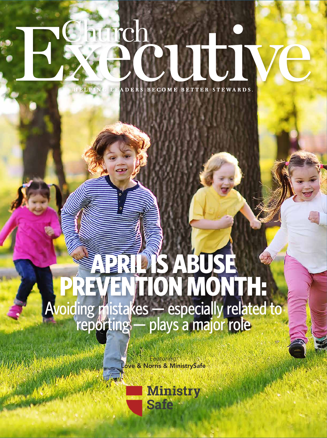## aurch ATC.

ADERS BECOME BETTER STEWARDS.

# **APRIL IS ABUSE PREVENTION MONTH:** Avoiding mistakes — especially related to<br>reporting — plays a major role

*Featuring:* Love & Norris & MinistrySafe

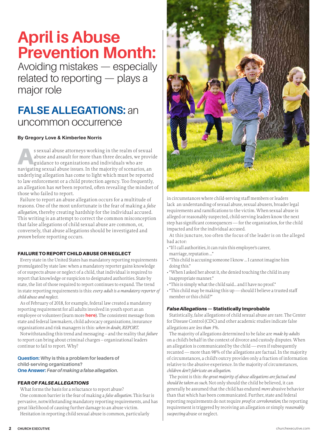### **April is Abuse Prevention Month:**

Avoiding mistakes — especially related to reporting — plays a major role

### **FALSE ALLEGATIONS:** an uncommon occurrence

#### By Gregory Love & Kimberlee Norris

s sexual abuse attorneys working in the realm of sexual<br>abuse and assault for more than three decades, we provid<br>guidance to organizations and individuals who are<br>provided as a provided as the provided as the provided as t abuse and assault for more than three decades, we provide guidance to organizations and individuals who are navigating sexual abuse issues. In the majority of scenarios, an underlying allegation has come to light which must be reported to law enforcement or a child protection agency. Too frequently, an allegation has *not* been reported, often revealing the mindset of those who failed to report.

Failure to report an abuse allegation occurs for a multitude of reasons. One of the most unfortunate is the fear of making a *false allegation,* thereby creating hardship for the individual accused. This writing is an attempt to correct the common misconception that false allegations of child sexual abuse are common, or, conversely, that abuse allegations should be investigated and *proven* before reporting occurs.

#### FAILURE TO REPORT CHILD ABUSE OR NEGLECT

Every state in the United States has mandatory reporting requirements promulgated by state law: when a mandatory reporter gains knowledge of or suspects abuse or neglect of a child, that individual is required to report that knowledge or suspicion to designated authorities. State by state, the list of those required to report continues to expand. The trend in state reporting requirements is this: *every adult is a mandatory reporter of child abuse and neglect.*

As of February of 2018, for example, federal law created a mandatory reporting requirement for all ad[ults involve](http://www.ministrysafe.com/youthsports)d in youth sport as an employee or volunteer (learn more **here**). The consistent message from state and federal lawmakers, child advocacy organizations, insurance organizations and risk managers is this: *when in doubt, REPORT.* 

Notwithstanding this trend and messaging – and the reality that *failure* to report can bring about criminal charges – organizational leaders continue to fail to report. Why?

**Question: Why is this a problem for leaders of child-serving organizations? One Answer:** *Fear of making a false allegation.*

#### FEAR OF *FALSE ALLEGATIONS*

What forms the basis for a reluctance to report abuse? One common barrier is the fear of making a *false allegation.* This fear is pervasive, notwithstanding mandatory reporting requirements, and has great likelihood of causing further damage to an abuse victim.

Hesitation in reporting child sexual abuse is common, particularly



in circumstances where child-serving staff members or leaders lack an understanding of sexual abuse, sexual abusers, broader legal requirements and ramifications to the victim. When sexual abuse is alleged or reasonably suspected, child-serving leaders know the next step has significant consequences — for the organization, for the child impacted and for the individual accused.

At this juncture, too often the focus of the leader is on the alleged bad actor:

- "If I call authorities, it can ruin this employee's career, marriage, reputation …"
- "This child is accusing someone I know … I cannot imagine him doing this."
- "When I asked her about it, she denied touching the child in any inappropriate manner."
- "This is simply what the child said… and I have no proof."

• "This child may be making this up — should I believe a trusted staff member or this child?"

#### *False Allegations* — Statistically Improbable

Statistically, false allegations of child sexual abuse are rare. The Center for Disease Control (CDC) and other academic studies indicate false allegations are *less than 3%.*

The majority of allegations determined to be false are *made by adults* on a child's behalf in the context of divorce and custody disputes. When an allegation is communicated by the child — even if subsequently recanted — more than 98% of the allegations are factual. In the majority of circumstances, a child's outcry provides only a fraction of information relative to the abusive experience. In the majority of circumstances, *children don't fabricate an allegation.*

The point is this: *the great majority of abuse allegations are factual and should be taken as such.* Not only should the child be believed, it can generally be assumed that the child has endured *more* abusive behavior than that which has been communicated. Further, state and federal reporting requirements do not require *proof* or *corroboration*; the reporting requirement is triggered by receiving an allegation or simply *reasonably suspecting* abuse or neglect.